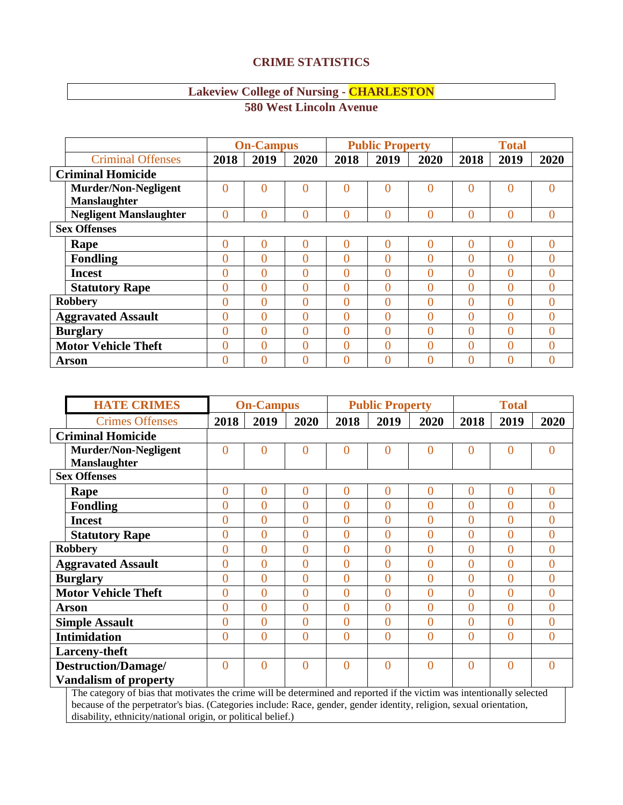## **CRIME STATISTICS**

## **Lakeview College of Nursing - CHARLESTON**

|                               |                | <b>On-Campus</b> |          | <b>Public Property</b> |          |          | <b>Total</b>   |                |                |
|-------------------------------|----------------|------------------|----------|------------------------|----------|----------|----------------|----------------|----------------|
| <b>Criminal Offenses</b>      | 2018           | 2019             | 2020     | 2018                   | 2019     | 2020     | 2018           | 2019           | 2020           |
| <b>Criminal Homicide</b>      |                |                  |          |                        |          |          |                |                |                |
| <b>Murder/Non-Negligent</b>   | 0              | $\Omega$         | $\theta$ | $\overline{0}$         | $\Omega$ | $\theta$ | $\Omega$       | $\Omega$       | $\Omega$       |
| Manslaughter                  |                |                  |          |                        |          |          |                |                |                |
| <b>Negligent Manslaughter</b> | 0              | $\Omega$         | $\theta$ | $\theta$               | $\Omega$ | $\theta$ | $\theta$       | 0              | $\theta$       |
| <b>Sex Offenses</b>           |                |                  |          |                        |          |          |                |                |                |
| Rape                          | $\overline{0}$ | $\theta$         | $\theta$ | $\overline{0}$         | $\Omega$ | $\theta$ | $\overline{0}$ | $\theta$       | $\overline{0}$ |
| <b>Fondling</b>               | 0              | 0                | 0        | $\theta$               | $\Omega$ | 0        | $\theta$       | 0              | $\theta$       |
| <b>Incest</b>                 | 0              | $\Omega$         | 0        | $\theta$               | $\Omega$ | 0        | $\theta$       | $\Omega$       | $\Omega$       |
| <b>Statutory Rape</b>         | $\overline{0}$ | $\theta$         | $\theta$ | $\theta$               | $\Omega$ | 0        | $\overline{0}$ | $\theta$       | $\overline{0}$ |
| <b>Robbery</b>                | 0              | 0                | $\Omega$ | $\theta$               | $\Omega$ | 0        | $\theta$       | 0              | $\Omega$       |
| <b>Aggravated Assault</b>     | 0              | $\Omega$         | 0        | $\theta$               | $\Omega$ | $\theta$ | $\Omega$       | $\Omega$       | $\Omega$       |
| <b>Burglary</b>               | 0              | $\theta$         | $\theta$ | $\theta$               | $\Omega$ | 0        | $\theta$       | $\overline{0}$ | $\overline{0}$ |
| <b>Motor Vehicle Theft</b>    | 0              | 0                | 0        | $\theta$               | $\Omega$ | 0        | $\Omega$       | 0              | $\Omega$       |
| Arson                         | $\overline{0}$ | $\Omega$         | 0        | $\overline{0}$         | $\Omega$ | 0        | $\theta$       | 0              |                |

**580 West Lincoln Avenue**

|                          | <b>HATE CRIMES</b>                                                                                                     | <b>On-Campus</b> |                |                |                | <b>Public Property</b> |                | <b>Total</b>   |                |                |
|--------------------------|------------------------------------------------------------------------------------------------------------------------|------------------|----------------|----------------|----------------|------------------------|----------------|----------------|----------------|----------------|
|                          | <b>Crimes Offenses</b>                                                                                                 | 2018             | 2019           | 2020           | 2018           | 2019                   | 2020           | 2018           | 2019           | 2020           |
| <b>Criminal Homicide</b> |                                                                                                                        |                  |                |                |                |                        |                |                |                |                |
|                          | <b>Murder/Non-Negligent</b>                                                                                            | $\overline{0}$   | $\overline{0}$ | $\overline{0}$ | $\Omega$       | $\overline{0}$         | $\Omega$       | $\overline{0}$ | $\overline{0}$ | $\overline{0}$ |
|                          | <b>Manslaughter</b>                                                                                                    |                  |                |                |                |                        |                |                |                |                |
|                          | <b>Sex Offenses</b>                                                                                                    |                  |                |                |                |                        |                |                |                |                |
|                          | Rape                                                                                                                   | $\overline{0}$   | $\mathbf{0}$   | $\overline{0}$ | $\overline{0}$ | $\overline{0}$         | $\overline{0}$ | $\overline{0}$ | $\overline{0}$ | $\overline{0}$ |
|                          | <b>Fondling</b>                                                                                                        | $\overline{0}$   | $\mathbf{0}$   | $\overline{0}$ | $\overline{0}$ | $\overline{0}$         | $\overline{0}$ | $\overline{0}$ | $\overline{0}$ | $\overline{0}$ |
|                          | <b>Incest</b>                                                                                                          | $\overline{0}$   | $\overline{0}$ | $\overline{0}$ | $\theta$       | $\overline{0}$         | $\theta$       | $\overline{0}$ | $\overline{0}$ | $\overline{0}$ |
|                          | <b>Statutory Rape</b>                                                                                                  | $\overline{0}$   | $\overline{0}$ | $\overline{0}$ | $\theta$       | $\overline{0}$         | $\theta$       | $\overline{0}$ | $\overline{0}$ | $\overline{0}$ |
|                          | <b>Robbery</b>                                                                                                         | $\overline{0}$   | $\overline{0}$ | $\overline{0}$ | $\theta$       | $\overline{0}$         | $\theta$       | $\overline{0}$ | $\overline{0}$ | $\overline{0}$ |
|                          | <b>Aggravated Assault</b>                                                                                              | $\overline{0}$   | $\overline{0}$ | $\overline{0}$ | $\overline{0}$ | $\overline{0}$         | $\overline{0}$ | $\overline{0}$ | $\overline{0}$ | $\overline{0}$ |
|                          | <b>Burglary</b>                                                                                                        | $\overline{0}$   | $\overline{0}$ | $\overline{0}$ | $\overline{0}$ | $\overline{0}$         | $\overline{0}$ | $\overline{0}$ | $\overline{0}$ | $\overline{0}$ |
|                          | <b>Motor Vehicle Theft</b>                                                                                             | $\overline{0}$   | $\overline{0}$ | $\overline{0}$ | $\theta$       | $\overline{0}$         | $\theta$       | $\overline{0}$ | $\overline{0}$ | $\overline{0}$ |
|                          | Arson                                                                                                                  | $\overline{0}$   | $\theta$       | $\overline{0}$ | $\theta$       | $\overline{0}$         | $\theta$       | $\overline{0}$ | $\overline{0}$ | $\overline{0}$ |
|                          | <b>Simple Assault</b>                                                                                                  | $\overline{0}$   | $\overline{0}$ | $\overline{0}$ | $\overline{0}$ | $\overline{0}$         | $\overline{0}$ | $\overline{0}$ | $\overline{0}$ | $\overline{0}$ |
|                          | <b>Intimidation</b>                                                                                                    | $\overline{0}$   | $\overline{0}$ | $\overline{0}$ | $\overline{0}$ | $\overline{0}$         | $\overline{0}$ | $\overline{0}$ | $\overline{0}$ | $\overline{0}$ |
|                          | Larceny-theft                                                                                                          |                  |                |                |                |                        |                |                |                |                |
|                          | <b>Destruction/Damage/</b>                                                                                             | $\overline{0}$   | $\overline{0}$ | $\overline{0}$ | $\theta$       | $\overline{0}$         | $\theta$       | $\theta$       | $\overline{0}$ | $\overline{0}$ |
|                          | <b>Vandalism of property</b>                                                                                           |                  |                |                |                |                        |                |                |                |                |
|                          | The category of bias that motivates the crime will be determined and reported if the victim was intentionally selected |                  |                |                |                |                        |                |                |                |                |

because of the perpetrator's bias. (Categories include: Race, gender, gender identity, religion, sexual orientation, disability, ethnicity/national origin, or political belief.)